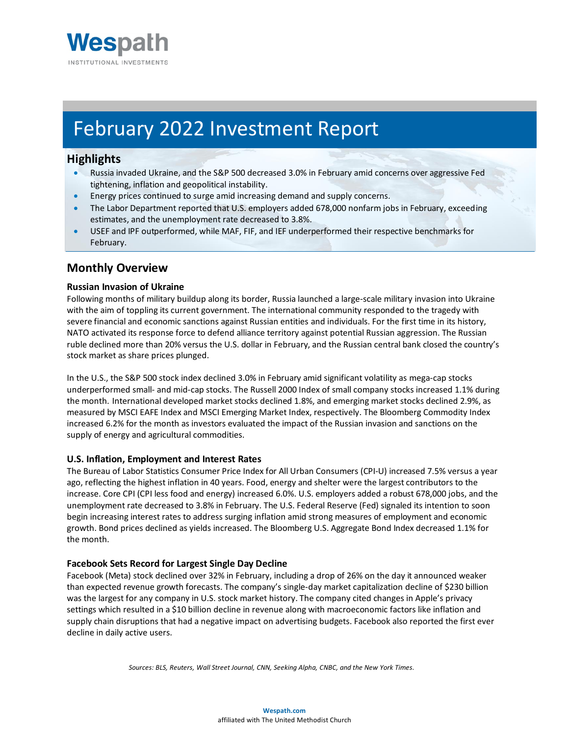

# February 2022 Investment Report

## **Highlights**

- Russia invaded Ukraine, and the S&P 500 decreased 3.0% in February amid concerns over aggressive Fed tightening, inflation and geopolitical instability.
- Energy prices continued to surge amid increasing demand and supply concerns.
- The Labor Department reported that U.S. employers added 678,000 nonfarm jobs in February, exceeding estimates, and the unemployment rate decreased to 3.8%.
- USEF and IPF outperformed, while MAF, FIF, and IEF underperformed their respective benchmarks for February.

# **Monthly Overview**

#### **Russian Invasion of Ukraine**

Following months of military buildup along its border, Russia launched a large-scale military invasion into Ukraine with the aim of toppling its current government. The international community responded to the tragedy with severe financial and economic sanctions against Russian entities and individuals. For the first time in its history, NATO activated its response force to defend alliance territory against potential Russian aggression. The Russian ruble declined more than 20% versus the U.S. dollar in February, and the Russian central bank closed the country's stock market as share prices plunged.

In the U.S., the S&P 500 stock index declined 3.0% in February amid significant volatility as mega-cap stocks underperformed small- and mid-cap stocks. The Russell 2000 Index of small company stocks increased 1.1% during the month. International developed market stocks declined 1.8%, and emerging market stocks declined 2.9%, as measured by MSCI EAFE Index and MSCI Emerging Market Index, respectively. The Bloomberg Commodity Index increased 6.2% for the month as investors evaluated the impact of the Russian invasion and sanctions on the supply of energy and agricultural commodities.

#### **U.S. Inflation, Employment and Interest Rates**

The Bureau of Labor Statistics Consumer Price Index for All Urban Consumers (CPI-U) increased 7.5% versus a year ago, reflecting the highest inflation in 40 years. Food, energy and shelter were the largest contributors to the increase. Core CPI (CPI less food and energy) increased 6.0%. U.S. employers added a robust 678,000 jobs, and the unemployment rate decreased to 3.8% in February. The U.S. Federal Reserve (Fed) signaled its intention to soon begin increasing interest rates to address surging inflation amid strong measures of employment and economic growth. Bond prices declined as yields increased. The Bloomberg U.S. Aggregate Bond Index decreased 1.1% for the month.

#### **Facebook Sets Record for Largest Single Day Decline**

Facebook (Meta) stock declined over 32% in February, including a drop of 26% on the day it announced weaker than expected revenue growth forecasts. The company's single-day market capitalization decline of \$230 billion was the largest for any company in U.S. stock market history. The company cited changes in Apple's privacy settings which resulted in a \$10 billion decline in revenue along with macroeconomic factors like inflation and supply chain disruptions that had a negative impact on advertising budgets. Facebook also reported the first ever decline in daily active users.

*Sources: BLS, Reuters, Wall Street Journal, CNN, Seeking Alpha, CNBC, and the New York Times.*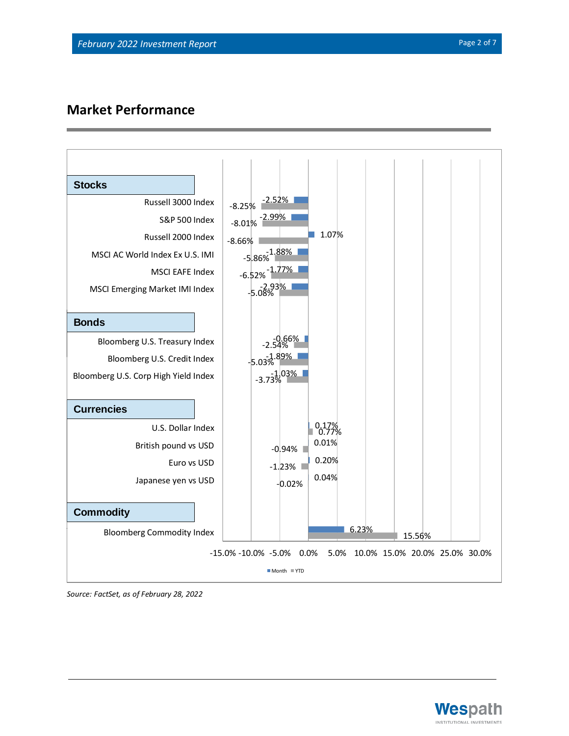# **Market Performance**



*Source: FactSet, as of February 28, 2022*

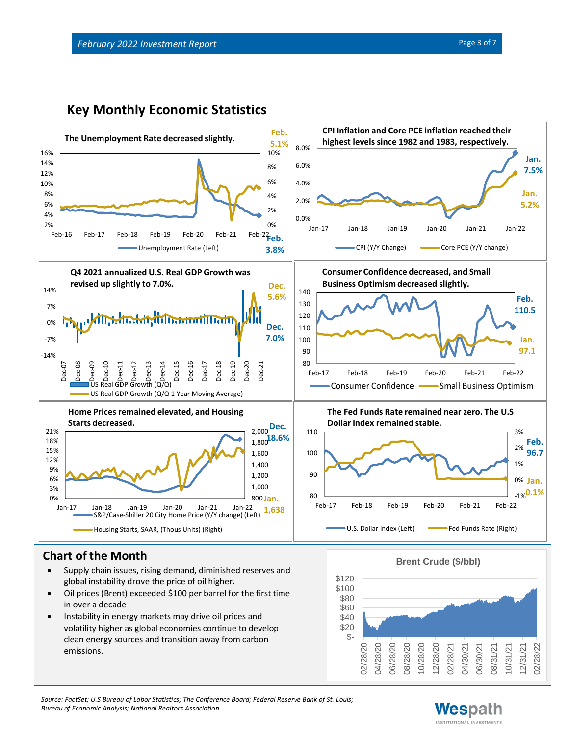



# **Chart of the Month**

- Supply chain issues, rising demand, diminished reserves and global instability drove the price of oil higher.
- Oil prices (Brent) exceeded \$100 per barrel for the first time in over a decade
- Instability in energy markets may drive oil prices and volatility higher as global economies continue to develop clean energy sources and transition away from carbon emissions.



*Source: FactSet; U.S Bureau of Labor Statistics; The Conference Board; Federal Reserve Bank of St. Louis; Bureau of Economic Analysis; National Realtors Association*

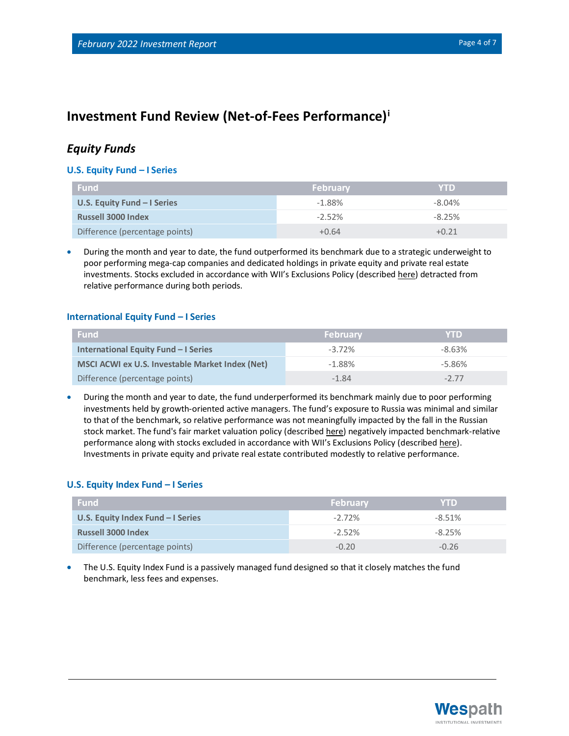# **Investment Fund Review (Net-of-Fees Performance)<sup>i</sup>**

## *Equity Funds*

#### **U.S. Equity Fund – I Series**

| <b>Fund</b>                    | <b>February</b> | <b>YTD</b> |
|--------------------------------|-----------------|------------|
| U.S. Equity Fund $-1$ Series   | $-1.88%$        | $-8.04\%$  |
| <b>Russell 3000 Index</b>      | $-2.52%$        | $-8.25%$   |
| Difference (percentage points) | $+0.64$         | $+0.21$    |

• During the month and year to date, the fund outperformed its benchmark due to a strategic underweight to poor performing mega-cap companies and dedicated holdings in private equity and private real estate investments. Stocks excluded in accordance with WII's Exclusions Policy (described [here\)](https://www.wespath.com/sustainable-investment/investment-exclusions) detracted from relative performance during both periods.

#### **International Equity Fund – I Series**

| <b>Fund</b>                                     | <b>February</b> | <b>YTD</b> |
|-------------------------------------------------|-----------------|------------|
| International Equity Fund - I Series            | $-3.72\%$       | $-8.63%$   |
| MSCI ACWI ex U.S. Investable Market Index (Net) | $-1.88%$        | -5.86%     |
| Difference (percentage points)                  | $-1.84$         | $-277$     |

• During the month and year to date, the fund underperformed its benchmark mainly due to poor performing investments held by growth-oriented active managers. The fund's exposure to Russia was minimal and similar to that of the benchmark, so relative performance was not meaningfully impacted by the fall in the Russian stock market. The fund's fair market valuation policy (described [here\)](https://www.wespath.com/fund-performance/ief-i#fund-detail-tabs-risk) negatively impacted benchmark-relative performance along with stocks excluded in accordance with WII's Exclusions Policy (described [here\)](https://www.wespath.com/sustainable-investment/investment-exclusions). Investments in private equity and private real estate contributed modestly to relative performance.

#### **U.S. Equity Index Fund – I Series**

| <b>Fund</b>                        | <b>February</b> | <b>YTD</b> |
|------------------------------------|-----------------|------------|
| U.S. Equity Index Fund $-1$ Series | $-2.72\%$       | -8.51%     |
| <b>Russell 3000 Index</b>          | $-2.52%$        | $-8.25%$   |
| Difference (percentage points)     | $-0.20$         | $-0.26$    |

• The U.S. Equity Index Fund is a passively managed fund designed so that it closely matches the fund benchmark, less fees and expenses.

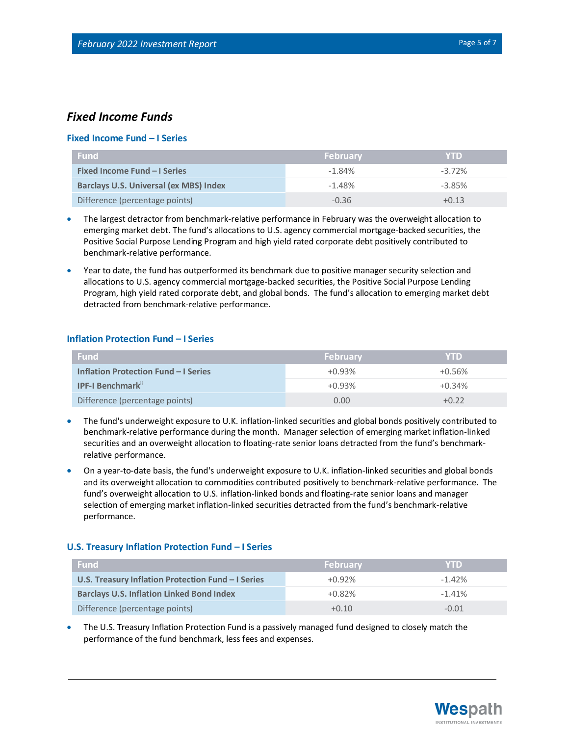### *Fixed Income Funds*

#### **Fixed Income Fund – I Series**

| <b>Fund</b>                                   | <b>February</b> | <b>YTD</b> |
|-----------------------------------------------|-----------------|------------|
| <b>Fixed Income Fund - I Series</b>           | $-1.84%$        | $-3.72\%$  |
| <b>Barclays U.S. Universal (ex MBS) Index</b> | $-1.48%$        | $-3.85%$   |
| Difference (percentage points)                | $-0.36$         | $+0.13$    |

- The largest detractor from benchmark-relative performance in February was the overweight allocation to emerging market debt. The fund's allocations to U.S. agency commercial mortgage-backed securities, the Positive Social Purpose Lending Program and high yield rated corporate debt positively contributed to benchmark-relative performance.
- Year to date, the fund has outperformed its benchmark due to positive manager security selection and allocations to U.S. agency commercial mortgage-backed securities, the Positive Social Purpose Lending Program, high yield rated corporate debt, and global bonds. The fund's allocation to emerging market debt detracted from benchmark-relative performance.

#### **Inflation Protection Fund – I Series**

| <b>Fund</b>                          | February | <b>YTD</b> |
|--------------------------------------|----------|------------|
| Inflation Protection Fund - I Series | $+0.93%$ | $+0.56%$   |
| <b>IPF-I Benchmark</b> "             | $+0.93%$ | $+0.34%$   |
| Difference (percentage points)       | 0.00     | $+0.22$    |

- The fund's underweight exposure to U.K. inflation-linked securities and global bonds positively contributed to benchmark-relative performance during the month. Manager selection of emerging market inflation-linked securities and an overweight allocation to floating-rate senior loans detracted from the fund's benchmarkrelative performance.
- On a year-to-date basis, the fund's underweight exposure to U.K. inflation-linked securities and global bonds and its overweight allocation to commodities contributed positively to benchmark-relative performance. The fund's overweight allocation to U.S. inflation-linked bonds and floating-rate senior loans and manager selection of emerging market inflation-linked securities detracted from the fund's benchmark-relative performance.

#### **U.S. Treasury Inflation Protection Fund – I Series**

| <b>Fund</b>                                        | <b>February</b> | <b>YTD</b> |
|----------------------------------------------------|-----------------|------------|
| U.S. Treasury Inflation Protection Fund - I Series | $+0.92%$        | $-1.42\%$  |
| <b>Barclays U.S. Inflation Linked Bond Index</b>   | $+0.82%$        | $-1.41%$   |
| Difference (percentage points)                     | $+0.10$         | $-0.01$    |

• The U.S. Treasury Inflation Protection Fund is a passively managed fund designed to closely match the performance of the fund benchmark, less fees and expenses.

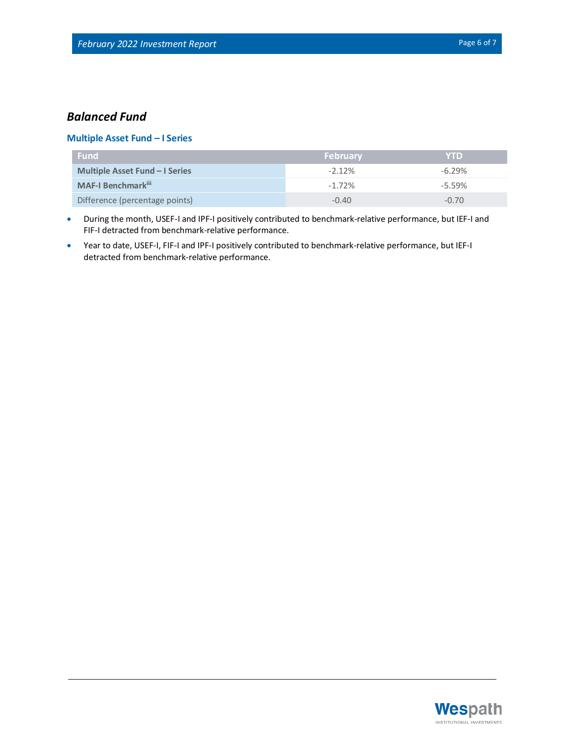## *Balanced Fund*

#### **Multiple Asset Fund – I Series**

| <b>Fund</b>                           | <b>February</b> | <b>YTD</b> |
|---------------------------------------|-----------------|------------|
| <b>Multiple Asset Fund – I Series</b> | $-2.12\%$       | $-6.29%$   |
| <b>MAF-I Benchmark</b> ii             | $-1.72%$        | $-5.59%$   |
| Difference (percentage points)        | $-0.40$         | $-0.70$    |

- During the month, USEF-I and IPF-I positively contributed to benchmark-relative performance, but IEF-I and FIF-I detracted from benchmark-relative performance.
- Year to date, USEF-I, FIF-I and IPF-I positively contributed to benchmark-relative performance, but IEF-I detracted from benchmark-relative performance.